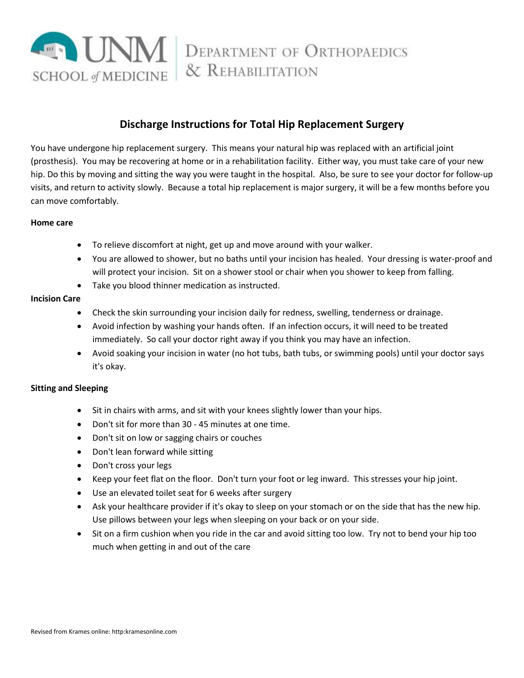

# **Discharge Instructions for Total Hip Replacement Surgery**

You have undergone hip replacement surgery. This means your natural hip was replaced with an artificial joint (prosthesis). You may be recovering at home or in a rehabilitation facility. Either way, you must take care of your new hip. Do this by moving and sitting the way you were taught in the hospital. Also, be sure to see your doctor for follow-up visits, and return to activity slowly. Because a total hip replacement is major surgery, it will be a few months before you can move comfortably.

#### **Home care**

- To relieve discomfort at night, get up and move around with your walker.
- You are allowed to shower, but no baths until your incision has healed. Your dressing is water-proof and will protect your incision. Sit on a shower stool or chair when you shower to keep from falling.
- Take you blood thinner medication as instructed.

### **Incision Care**

- Check the skin surrounding your incision daily for redness, swelling, tenderness or drainage.
- Avoid infection by washing your hands often. If an infection occurs, it will need to be treated immediately. So call your doctor right away if you think you may have an infection.
- Avoid soaking your incision in water (no hot tubs, bath tubs, or swimming pools) until your doctor says it's okay.

### **Sitting and Sleeping**

- Sit in chairs with arms, and sit with your knees slightly lower than your hips.
- Don't sit for more than 30 45 minutes at one time.
- Don't sit on low or sagging chairs or couches
- Don't lean forward while sitting
- Don't cross your legs
- Keep your feet flat on the floor. Don't turn your foot or leg inward. This stresses your hip joint.
- Use an elevated toilet seat for 6 weeks after surgery
- Ask your healthcare provider if it's okay to sleep on your stomach or on the side that has the new hip. Use pillows between your legs when sleeping on your back or on your side.
- Sit on a firm cushion when you ride in the car and avoid sitting too low. Try not to bend your hip too much when getting in and out of the care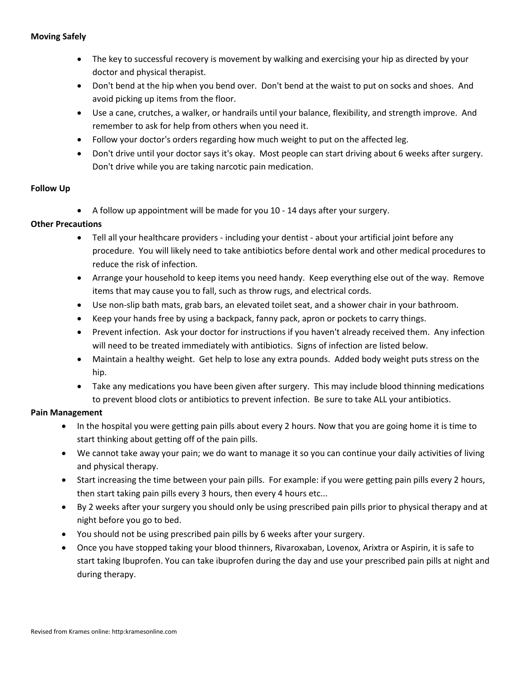- The key to successful recovery is movement by walking and exercising your hip as directed by your doctor and physical therapist.
- Don't bend at the hip when you bend over. Don't bend at the waist to put on socks and shoes. And avoid picking up items from the floor.
- Use a cane, crutches, a walker, or handrails until your balance, flexibility, and strength improve. And remember to ask for help from others when you need it.
- Follow your doctor's orders regarding how much weight to put on the affected leg.
- Don't drive until your doctor says it's okay. Most people can start driving about 6 weeks after surgery. Don't drive while you are taking narcotic pain medication.

### **Follow Up**

A follow up appointment will be made for you 10 - 14 days after your surgery.

### **Other Precautions**

- Tell all your healthcare providers including your dentist about your artificial joint before any procedure. You will likely need to take antibiotics before dental work and other medical procedures to reduce the risk of infection.
- Arrange your household to keep items you need handy. Keep everything else out of the way. Remove items that may cause you to fall, such as throw rugs, and electrical cords.
- Use non-slip bath mats, grab bars, an elevated toilet seat, and a shower chair in your bathroom.
- Keep your hands free by using a backpack, fanny pack, apron or pockets to carry things.
- Prevent infection. Ask your doctor for instructions if you haven't already received them. Any infection will need to be treated immediately with antibiotics. Signs of infection are listed below.
- Maintain a healthy weight. Get help to lose any extra pounds. Added body weight puts stress on the hip.
- Take any medications you have been given after surgery. This may include blood thinning medications to prevent blood clots or antibiotics to prevent infection. Be sure to take ALL your antibiotics.

### **Pain Management**

- In the hospital you were getting pain pills about every 2 hours. Now that you are going home it is time to start thinking about getting off of the pain pills.
- We cannot take away your pain; we do want to manage it so you can continue your daily activities of living and physical therapy.
- Start increasing the time between your pain pills. For example: if you were getting pain pills every 2 hours, then start taking pain pills every 3 hours, then every 4 hours etc...
- By 2 weeks after your surgery you should only be using prescribed pain pills prior to physical therapy and at night before you go to bed.
- You should not be using prescribed pain pills by 6 weeks after your surgery.
- Once you have stopped taking your blood thinners, Rivaroxaban, Lovenox, Arixtra or Aspirin, it is safe to start taking Ibuprofen. You can take ibuprofen during the day and use your prescribed pain pills at night and during therapy.